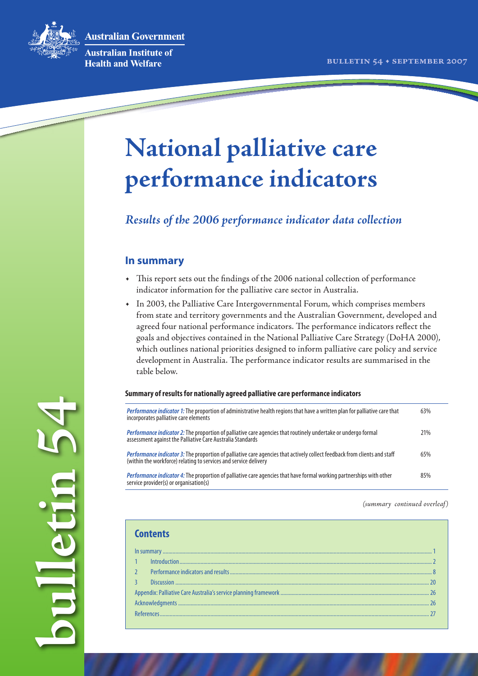**Australian Government** 



**bulletin 54**

alletin 54

Australian Institute of **Health and Welfare** 

# **National palliative care performance indicators**

*Results of the 2006 performance indicator data collection* 

# **In summary**

- • This report sets out the findings of the 2006 national collection of performance indicator information for the palliative care sector in Australia.
- • In 2003, the Palliative Care Intergovernmental Forum, which comprises members from state and territory governments and the Australian Government, developed and agreed four national performance indicators. The performance indicators reflect the goals and objectives contained in the National Palliative Care Strategy (DoHA 2000), which outlines national priorities designed to inform palliative care policy and service development in Australia. The performance indicator results are summarised in the table below.

#### **Summary of results for nationally agreed palliative care performance indicators**

| Performance indicator 1: The proportion of administrative health regions that have a written plan for palliative care that<br>incorporates palliative care elements                           | 63% |
|-----------------------------------------------------------------------------------------------------------------------------------------------------------------------------------------------|-----|
| Performance indicator 2: The proportion of palliative care agencies that routinely undertake or undergo formal<br>assessment against the Palliative Care Australia Standards                  | 21% |
| Performance indicator 3: The proportion of palliative care agencies that actively collect feedback from clients and staff<br>(within the workforce) relating to services and service delivery | 65% |
| Performance indicator 4: The proportion of palliative care agencies that have formal working partnerships with other<br>service provider(s) or organisation(s)                                | 85% |

*(summary continued overleaf)*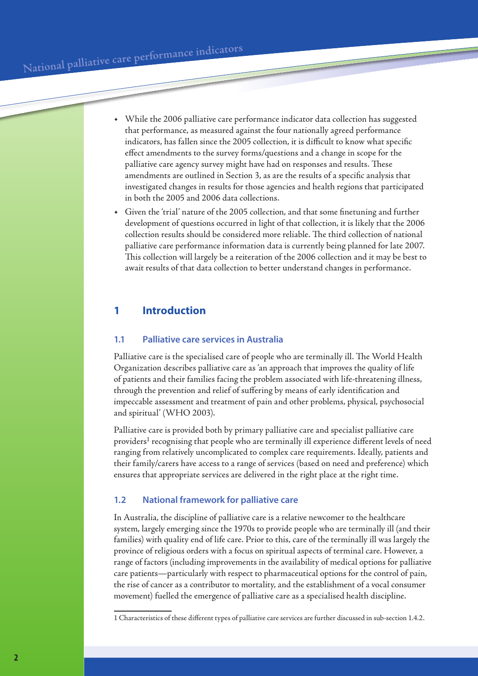- • While the 2006 palliative care performance indicator data collection has suggested that performance, as measured against the four nationally agreed performance indicators, has fallen since the 2005 collection, it is difficult to know what specific effect amendments to the survey forms/questions and a change in scope for the palliative care agency survey might have had on responses and results. These amendments are outlined in Section 3, as are the results of a specific analysis that investigated changes in results for those agencies and health regions that participated in both the 2005 and 2006 data collections.
- Given the 'trial' nature of the 2005 collection, and that some finetuning and further development of questions occurred in light of that collection, it is likely that the 2006 collection results should be considered more reliable. The third collection of national palliative care performance information data is currently being planned for late 2007. This collection will largely be a reiteration of the 2006 collection and it may be best to await results of that data collection to better understand changes in performance.

# **1 Introduction**

## **1.1 Palliative care services in Australia**

Palliative care is the specialised care of people who are terminally ill. The World Health Organization describes palliative care as 'an approach that improves the quality of life of patients and their families facing the problem associated with life-threatening illness, through the prevention and relief of suffering by means of early identification and impeccable assessment and treatment of pain and other problems, physical, psychosocial and spiritual' (WHO 2003).

Palliative care is provided both by primary palliative care and specialist palliative care providers<sup>1</sup> recognising that people who are terminally ill experience different levels of need ranging from relatively uncomplicated to complex care requirements. Ideally, patients and their family/carers have access to a range of services (based on need and preference) which ensures that appropriate services are delivered in the right place at the right time.

## **1.2 National framework for palliative care**

In Australia, the discipline of palliative care is a relative newcomer to the healthcare system, largely emerging since the 1970s to provide people who are terminally ill (and their families) with quality end of life care. Prior to this, care of the terminally ill was largely the province of religious orders with a focus on spiritual aspects of terminal care. However, a range of factors (including improvements in the availability of medical options for palliative care patients—particularly with respect to pharmaceutical options for the control of pain, the rise of cancer as a contributor to mortality, and the establishment of a vocal consumer movement) fuelled the emergence of palliative care as a specialised health discipline.

<sup>1</sup> Characteristics of these different types of palliative care services are further discussed in sub-section 1.4.2.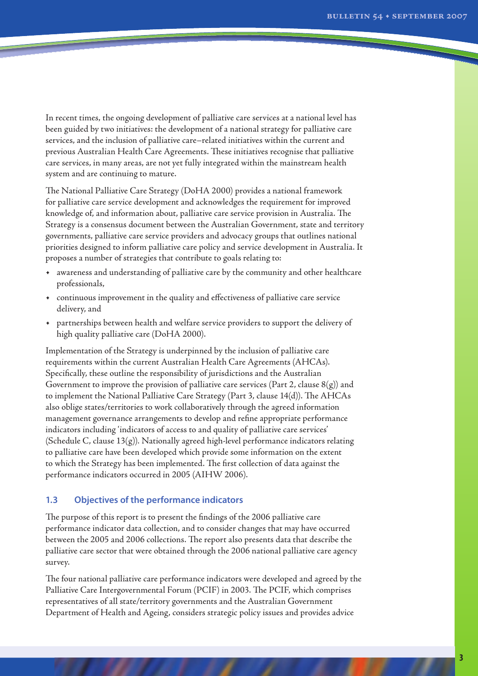In recent times, the ongoing development of palliative care services at a national level has been guided by two initiatives: the development of a national strategy for palliative care services, and the inclusion of palliative care–related initiatives within the current and previous Australian Health Care Agreements. These initiatives recognise that palliative care services, in many areas, are not yet fully integrated within the mainstream health system and are continuing to mature.

The National Palliative Care Strategy (DoHA 2000) provides a national framework for palliative care service development and acknowledges the requirement for improved knowledge of, and information about, palliative care service provision in Australia. The Strategy is a consensus document between the Australian Government, state and territory governments, palliative care service providers and advocacy groups that outlines national priorities designed to inform palliative care policy and service development in Australia. It proposes a number of strategies that contribute to goals relating to:

- • awareness and understanding of palliative care by the community and other healthcare professionals,
- • continuous improvement in the quality and effectiveness of palliative care service delivery, and
- • partnerships between health and welfare service providers to support the delivery of high quality palliative care (DoHA 2000).

Implementation of the Strategy is underpinned by the inclusion of palliative care requirements within the current Australian Health Care Agreements (AHCAs). Specifically, these outline the responsibility of jurisdictions and the Australian Government to improve the provision of palliative care services (Part 2, clause  $8(g)$ ) and to implement the National Palliative Care Strategy (Part 3, clause 14(d)). The AHCAs also oblige states/territories to work collaboratively through the agreed information management governance arrangements to develop and refine appropriate performance indicators including 'indicators of access to and quality of palliative care services' (Schedule C, clause  $13(g)$ ). Nationally agreed high-level performance indicators relating to palliative care have been developed which provide some information on the extent to which the Strategy has been implemented. The first collection of data against the performance indicators occurred in 2005 (AIHW 2006).

#### **1.3 Objectives of the performance indicators**

The purpose of this report is to present the findings of the 2006 palliative care performance indicator data collection, and to consider changes that may have occurred between the 2005 and 2006 collections. The report also presents data that describe the palliative care sector that were obtained through the 2006 national palliative care agency survey.

The four national palliative care performance indicators were developed and agreed by the Palliative Care Intergovernmental Forum (PCIF) in 2003. The PCIF, which comprises representatives of all state/territory governments and the Australian Government Department of Health and Ageing, considers strategic policy issues and provides advice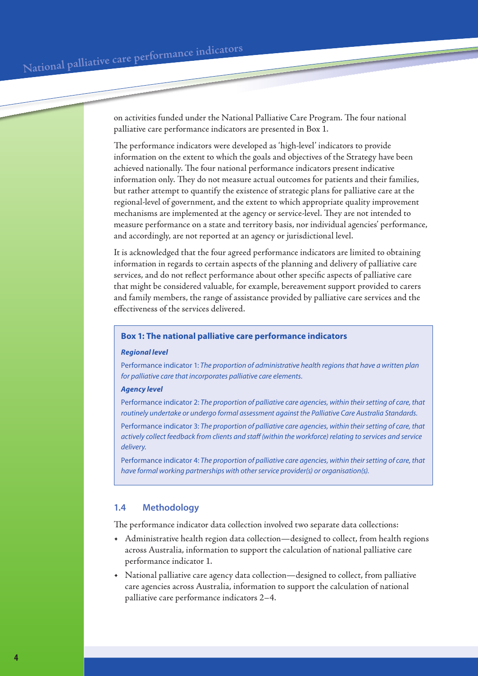on activities funded under the National Palliative Care Program. The four national palliative care performance indicators are presented in Box 1.

The performance indicators were developed as 'high-level' indicators to provide information on the extent to which the goals and objectives of the Strategy have been achieved nationally. The four national performance indicators present indicative information only. They do not measure actual outcomes for patients and their families, but rather attempt to quantify the existence of strategic plans for palliative care at the regional-level of government, and the extent to which appropriate quality improvement mechanisms are implemented at the agency or service-level. They are not intended to measure performance on a state and territory basis, nor individual agencies' performance, and accordingly, are not reported at an agency or jurisdictional level.

It is acknowledged that the four agreed performance indicators are limited to obtaining information in regards to certain aspects of the planning and delivery of palliative care services, and do not reflect performance about other specific aspects of palliative care that might be considered valuable, for example, bereavement support provided to carers and family members, the range of assistance provided by palliative care services and the effectiveness of the services delivered.

#### **Box 1: The national palliative care performance indicators**

#### *Regional level*

Performance indicator 1: *The proportion of administrative health regions that have a written plan for palliative care that incorporates palliative care elements.*

#### *Agency level*

Performance indicator 2: *The proportion of palliative care agencies, within their setting of care, that routinely undertake or undergo formal assessment against the Palliative Care Australia Standards.*

Performance indicator 3: *The proportion of palliative care agencies, within their setting of care, that actively collect feedback from clients and staff (within the workforce) relating to services and service delivery.*

Performance indicator 4: *The proportion of palliative care agencies, within their setting of care, that have formal working partnerships with other service provider(s) or organisation(s).*

#### **1.4 Methodology**

The performance indicator data collection involved two separate data collections:

- • Administrative health region data collection—designed to collect, from health regions across Australia, information to support the calculation of national palliative care performance indicator 1.
- National palliative care agency data collection—designed to collect, from palliative care agencies across Australia, information to support the calculation of national palliative care performance indicators 2–4.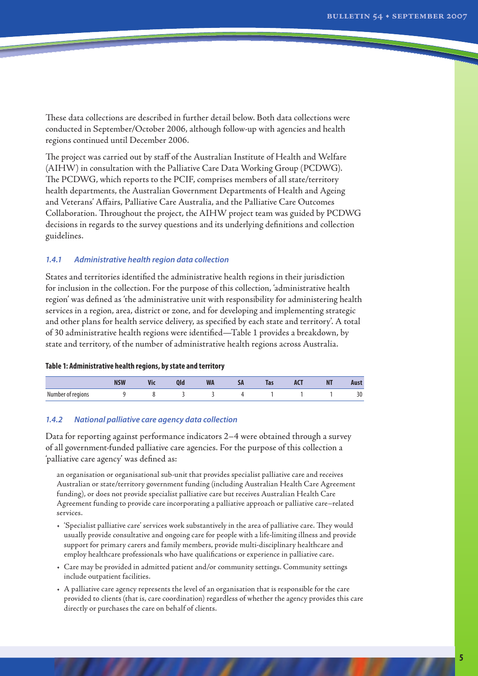These data collections are described in further detail below. Both data collections were conducted in September/October 2006, although follow-up with agencies and health regions continued until December 2006.

The project was carried out by staff of the Australian Institute of Health and Welfare (AIHW) in consultation with the Palliative Care Data Working Group (PCDWG). The PCDWG, which reports to the PCIF, comprises members of all state/territory health departments, the Australian Government Departments of Health and Ageing and Veterans' Affairs, Palliative Care Australia, and the Palliative Care Outcomes Collaboration. Throughout the project, the AIHW project team was guided by PCDWG decisions in regards to the survey questions and its underlying definitions and collection guidelines.

#### *1.4.1 Administrative health region data collection*

States and territories identified the administrative health regions in their jurisdiction for inclusion in the collection. For the purpose of this collection, 'administrative health region' was defined as 'the administrative unit with responsibility for administering health services in a region, area, district or zone, and for developing and implementing strategic and other plans for health service delivery, as specified by each state and territory'. A total of 30 administrative health regions were identified—Table 1 provides a breakdown, by state and territory, of the number of administrative health regions across Australia.

#### **Table 1: Administrative health regions, by state and territory**

|                   | $\overline{\phantom{a}}$<br>шл | <b>AIC</b> | <b>VIL</b> | <b>MI</b><br><b>VV M</b> | $\sim$ | Tas | <b>nsi</b> | N1 | Aust               |
|-------------------|--------------------------------|------------|------------|--------------------------|--------|-----|------------|----|--------------------|
| Number of regions |                                |            |            |                          |        |     |            |    | $\mathbf{a}$<br>υc |

#### *1.4.2 National palliative care agency data collection*

Data for reporting against performance indicators 2–4 were obtained through a survey of all government-funded palliative care agencies. For the purpose of this collection a 'palliative care agency' was defined as:

an organisation or organisational sub-unit that provides specialist palliative care and receives Australian or state/territory government funding (including Australian Health Care Agreement funding), or does not provide specialist palliative care but receives Australian Health Care Agreement funding to provide care incorporating a palliative approach or palliative care–related services.

- • 'Specialist palliative care' services work substantively in the area of palliative care. They would usually provide consultative and ongoing care for people with a life-limiting illness and provide support for primary carers and family members, provide multi-disciplinary healthcare and employ healthcare professionals who have qualifications or experience in palliative care.
- • Care may be provided in admitted patient and/or community settings. Community settings include outpatient facilities.
- • A palliative care agency represents the level of an organisation that is responsible for the care provided to clients (that is, care coordination) regardless of whether the agency provides this care directly or purchases the care on behalf of clients.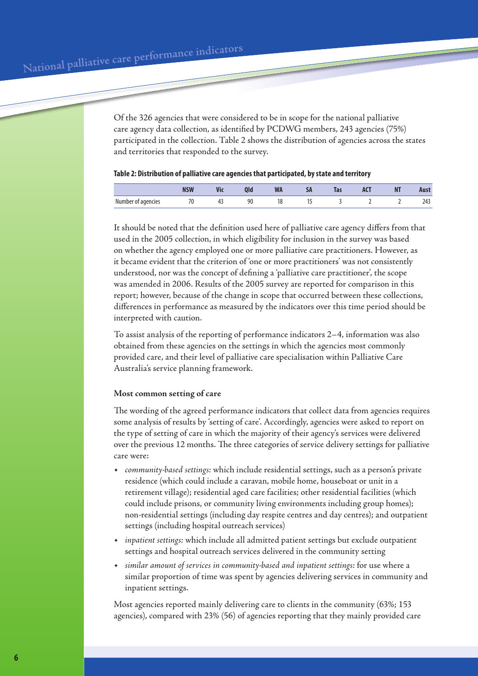Of the 326 agencies that were considered to be in scope for the national palliative care agency data collection, as identified by PCDWG members, 243 agencies (75%) participated in the collection. Table 2 shows the distribution of agencies across the states and territories that responded to the survey.

#### **Table 2: Distribution of palliative care agencies that participated, by state and territory**

|                    | <b>MCM</b><br><b>IN JAN</b> | B<br><b>AIC</b> | ш  | ----<br><u>VVM</u> | - - - | 1as | <b>AND</b> | <b>MT</b><br>ш |               |
|--------------------|-----------------------------|-----------------|----|--------------------|-------|-----|------------|----------------|---------------|
| Number of agencies | 70<br>7 U<br>. .            | . .             | 90 | 10                 | . .   |     |            |                | $\sim$ $\sim$ |

It should be noted that the definition used here of palliative care agency differs from that used in the 2005 collection, in which eligibility for inclusion in the survey was based on whether the agency employed one or more palliative care practitioners. However, as it became evident that the criterion of 'one or more practitioners' was not consistently understood, nor was the concept of defining a 'palliative care practitioner', the scope was amended in 2006. Results of the 2005 survey are reported for comparison in this report; however, because of the change in scope that occurred between these collections, differences in performance as measured by the indicators over this time period should be interpreted with caution.

To assist analysis of the reporting of performance indicators 2–4, information was also obtained from these agencies on the settings in which the agencies most commonly provided care, and their level of palliative care specialisation within Palliative Care Australia's service planning framework.

#### **Most common setting of care**

The wording of the agreed performance indicators that collect data from agencies requires some analysis of results by 'setting of care'. Accordingly, agencies were asked to report on the type of setting of care in which the majority of their agency's services were delivered over the previous 12 months. The three categories of service delivery settings for palliative care were:

- *community-based settings:* which include residential settings, such as a person's private residence (which could include a caravan, mobile home, houseboat or unit in a retirement village); residential aged care facilities; other residential facilities (which could include prisons, or community living environments including group homes); non-residential settings (including day respite centres and day centres); and outpatient settings (including hospital outreach services)
- *inpatient settings:* which include all admitted patient settings but exclude outpatient settings and hospital outreach services delivered in the community setting
- *similar amount of services in community-based and inpatient settings:* for use where a similar proportion of time was spent by agencies delivering services in community and inpatient settings.

Most agencies reported mainly delivering care to clients in the community (63%; 153 agencies), compared with 23% (56) of agencies reporting that they mainly provided care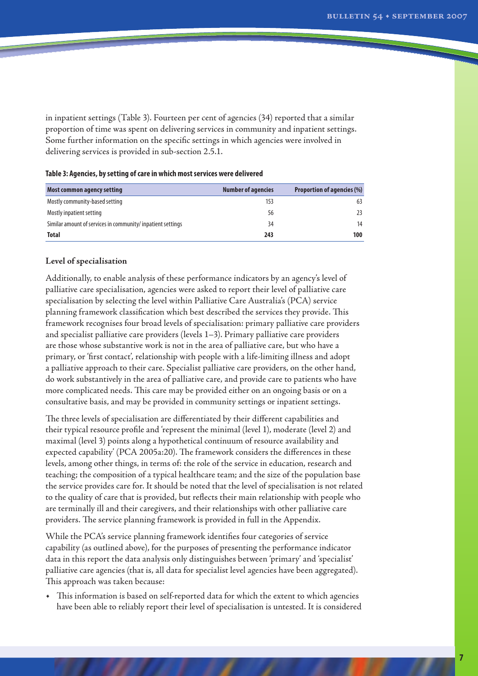in inpatient settings (Table 3). Fourteen per cent of agencies (34) reported that a similar proportion of time was spent on delivering services in community and inpatient settings. Some further information on the specific settings in which agencies were involved in delivering services is provided in sub-section 2.5.1.

| <b>Most common agency setting</b>                          | <b>Number of agencies</b> | <b>Proportion of agencies (%)</b> |
|------------------------------------------------------------|---------------------------|-----------------------------------|
| Mostly community-based setting                             | 153                       | 63                                |
| Mostly inpatient setting                                   | 56                        | 23                                |
| Similar amount of services in community/inpatient settings | 34                        | 14                                |
| Total                                                      | 243                       | 100                               |

#### **Table 3: Agencies, by setting of care in which most services were delivered**

#### **Level of specialisation**

Additionally, to enable analysis of these performance indicators by an agency's level of palliative care specialisation, agencies were asked to report their level of palliative care specialisation by selecting the level within Palliative Care Australia's (PCA) service planning framework classification which best described the services they provide. This framework recognises four broad levels of specialisation: primary palliative care providers and specialist palliative care providers (levels 1–3). Primary palliative care providers are those whose substantive work is not in the area of palliative care, but who have a primary, or 'first contact', relationship with people with a life-limiting illness and adopt a palliative approach to their care. Specialist palliative care providers, on the other hand, do work substantively in the area of palliative care, and provide care to patients who have more complicated needs. This care may be provided either on an ongoing basis or on a consultative basis, and may be provided in community settings or inpatient settings.

The three levels of specialisation are differentiated by their different capabilities and their typical resource profile and 'represent the minimal (level 1), moderate (level 2) and maximal (level 3) points along a hypothetical continuum of resource availability and expected capability' (PCA 2005a:20). The framework considers the differences in these levels, among other things, in terms of: the role of the service in education, research and teaching; the composition of a typical healthcare team; and the size of the population base the service provides care for. It should be noted that the level of specialisation is not related to the quality of care that is provided, but reflects their main relationship with people who are terminally ill and their caregivers, and their relationships with other palliative care providers. The service planning framework is provided in full in the Appendix.

While the PCA's service planning framework identifies four categories of service capability (as outlined above), for the purposes of presenting the performance indicator data in this report the data analysis only distinguishes between 'primary' and 'specialist' palliative care agencies (that is, all data for specialist level agencies have been aggregated). This approach was taken because:

• This information is based on self-reported data for which the extent to which agencies have been able to reliably report their level of specialisation is untested. It is considered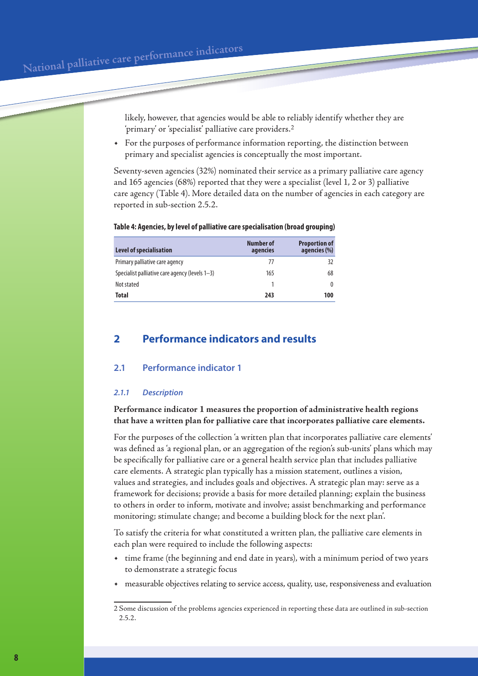likely, however, that agencies would be able to reliably identify whether they are 'primary' or 'specialist' palliative care providers.

For the purposes of performance information reporting, the distinction between primary and specialist agencies is conceptually the most important.

Seventy-seven agencies (32%) nominated their service as a primary palliative care agency and 165 agencies (68%) reported that they were a specialist (level 1, 2 or 3) palliative care agency (Table 4). More detailed data on the number of agencies in each category are reported in sub-section 2.5.2.

#### **Table 4: Agencies, by level of palliative care specialisation (broad grouping)**

| Level of specialisation                        | Number of<br>agencies | <b>Proportion of</b><br>agencies (%) |
|------------------------------------------------|-----------------------|--------------------------------------|
| Primary palliative care agency                 | 77                    | 32                                   |
| Specialist palliative care agency (levels 1–3) | 165                   | 68                                   |
| Not stated                                     |                       |                                      |
| <b>Total</b>                                   | 243                   | 100                                  |

# **2 Performance indicators and results**

#### **2.1 Performance indicator 1**

#### *2.1.1 Description*

## **Performance indicator 1 measures the proportion of administrative health regions that have a written plan for palliative care that incorporates palliative care elements.**

For the purposes of the collection 'a written plan that incorporates palliative care elements' was defined as 'a regional plan, or an aggregation of the region's sub-units' plans which may be specifically for palliative care or a general health service plan that includes palliative care elements. A strategic plan typically has a mission statement, outlines a vision, values and strategies, and includes goals and objectives. A strategic plan may: serve as a framework for decisions; provide a basis for more detailed planning; explain the business to others in order to inform, motivate and involve; assist benchmarking and performance monitoring; stimulate change; and become a building block for the next plan'.

To satisfy the criteria for what constituted a written plan, the palliative care elements in each plan were required to include the following aspects:

- time frame (the beginning and end date in years), with a minimum period of two years to demonstrate a strategic focus
- measurable objectives relating to service access, quality, use, responsiveness and evaluation

Some discussion of the problems agencies experienced in reporting these data are outlined in sub-section 2.5.2.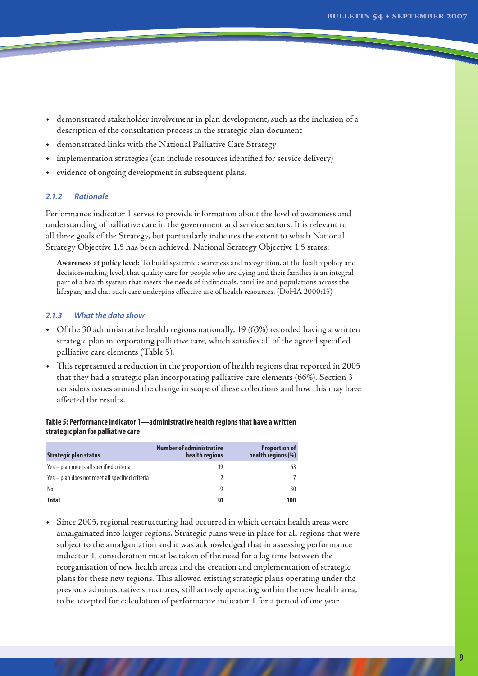- • demonstrated stakeholder involvement in plan development, such as the inclusion of a description of the consultation process in the strategic plan document
- • demonstrated links with the National Palliative Care Strategy
- • implementation strategies (can include resources identified for service delivery)
- • evidence of ongoing development in subsequent plans.

#### *2.1.2 Rationale*

Performance indicator 1 serves to provide information about the level of awareness and understanding of palliative care in the government and service sectors. It is relevant to all three goals of the Strategy, but particularly indicates the extent to which National Strategy Objective 1.5 has been achieved. National Strategy Objective 1.5 states:

**Awareness at policy level:** To build systemic awareness and recognition, at the health policy and decision-making level, that quality care for people who are dying and their families is an integral part of a health system that meets the needs of individuals, families and populations across the lifespan, and that such care underpins effective use of health resources. (DoHA 2000:15)

#### *2.1.3 What the data show*

- • Of the 30 administrative health regions nationally, 19 (63%) recorded having a written strategic plan incorporating palliative care, which satisfies all of the agreed specified palliative care elements (Table 5).
- • This represented a reduction in the proportion of health regions that reported in 2005 that they had a strategic plan incorporating palliative care elements (66%). Section 3 considers issues around the change in scope of these collections and how this may have affected the results.

#### **Table 5: Performance indicator 1—administrative health regions that have a written strategic plan for palliative care**

| Strategic plan status                           | <b>Number of administrative</b><br>health regions | <b>Proportion of</b><br>health regions (%) |
|-------------------------------------------------|---------------------------------------------------|--------------------------------------------|
| Yes - plan meets all specified criteria         | 19                                                | 63                                         |
| Yes – plan does not meet all specified criteria |                                                   |                                            |
| No                                              | q                                                 | 30                                         |
| <b>Total</b>                                    | 30                                                | 100                                        |

• Since 2005, regional restructuring had occurred in which certain health areas were amalgamated into larger regions. Strategic plans were in place for all regions that were subject to the amalgamation and it was acknowledged that in assessing performance indicator 1, consideration must be taken of the need for a lag time between the reorganisation of new health areas and the creation and implementation of strategic plans for these new regions. This allowed existing strategic plans operating under the previous administrative structures, still actively operating within the new health area, to be accepted for calculation of performance indicator 1 for a period of one year.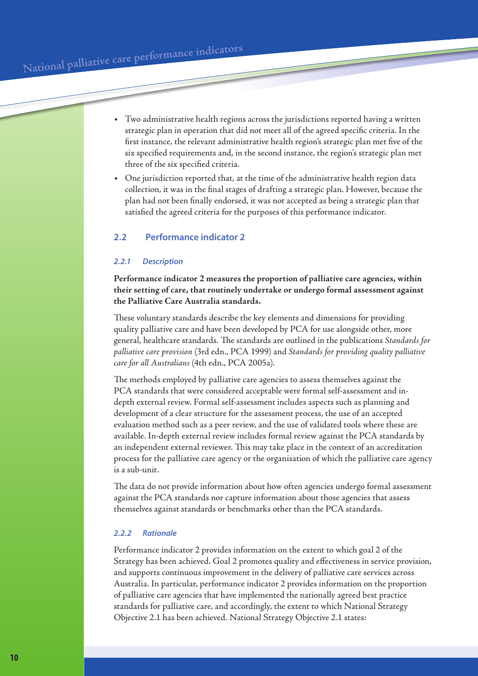- • Two administrative health regions across the jurisdictions reported having a written strategic plan in operation that did not meet all of the agreed specific criteria. In the first instance, the relevant administrative health region's strategic plan met five of the six specified requirements and, in the second instance, the region's strategic plan met three of the six specified criteria.
- One jurisdiction reported that, at the time of the administrative health region data collection, it was in the final stages of drafting a strategic plan. However, because the plan had not been finally endorsed, it was not accepted as being a strategic plan that satisfied the agreed criteria for the purposes of this performance indicator.

## **2.2 Performance indicator 2**

#### *2.2.1 Description*

**Performance indicator 2 measures the proportion of palliative care agencies, within their setting of care, that routinely undertake or undergo formal assessment against the Palliative Care Australia standards.** 

These voluntary standards describe the key elements and dimensions for providing quality palliative care and have been developed by PCA for use alongside other, more general, healthcare standards. The standards are outlined in the publications *Standards for palliative care provision* (3rd edn., PCA 1999) and *Standards for providing quality palliative care for all Australians* (4th edn., PCA 2005a).

The methods employed by palliative care agencies to assess themselves against the PCA standards that were considered acceptable were formal self-assessment and indepth external review. Formal self-assessment includes aspects such as planning and development of a clear structure for the assessment process, the use of an accepted evaluation method such as a peer review, and the use of validated tools where these are available. In-depth external review includes formal review against the PCA standards by an independent external reviewer. This may take place in the context of an accreditation process for the palliative care agency or the organisation of which the palliative care agency is a sub-unit.

The data do not provide information about how often agencies undergo formal assessment against the PCA standards nor capture information about those agencies that assess themselves against standards or benchmarks other than the PCA standards.

## *2.2.2 Rationale*

Performance indicator 2 provides information on the extent to which goal 2 of the Strategy has been achieved. Goal 2 promotes quality and effectiveness in service provision, and supports continuous improvement in the delivery of palliative care services across Australia. In particular, performance indicator 2 provides information on the proportion of palliative care agencies that have implemented the nationally agreed best practice standards for palliative care, and accordingly, the extent to which National Strategy Objective 2.1 has been achieved. National Strategy Objective 2.1 states: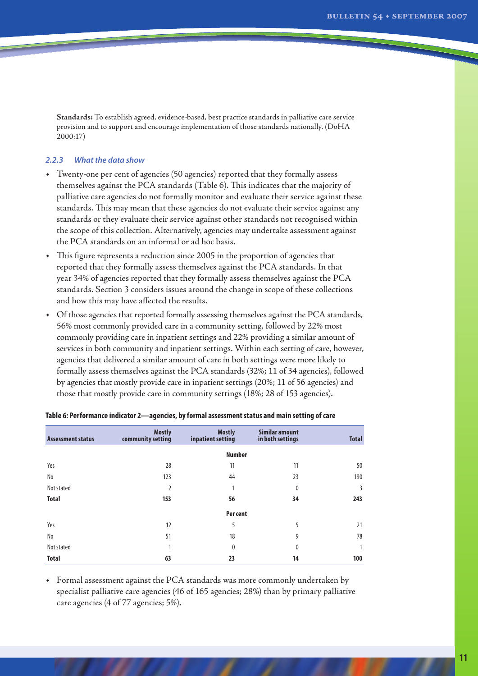**Standards:** To establish agreed, evidence-based, best practice standards in palliative care service provision and to support and encourage implementation of those standards nationally. (DoHA 2000:17)

#### *2.2.3 What the data show*

- • Twenty-one per cent of agencies (50 agencies) reported that they formally assess themselves against the PCA standards (Table 6). This indicates that the majority of palliative care agencies do not formally monitor and evaluate their service against these standards. This may mean that these agencies do not evaluate their service against any standards or they evaluate their service against other standards not recognised within the scope of this collection. Alternatively, agencies may undertake assessment against the PCA standards on an informal or ad hoc basis.
- • This figure represents a reduction since 2005 in the proportion of agencies that reported that they formally assess themselves against the PCA standards. In that year 34% of agencies reported that they formally assess themselves against the PCA standards. Section 3 considers issues around the change in scope of these collections and how this may have affected the results.
- Of those agencies that reported formally assessing themselves against the PCA standards, 56% most commonly provided care in a community setting, followed by 22% most commonly providing care in inpatient settings and 22% providing a similar amount of services in both community and inpatient settings. Within each setting of care, however, agencies that delivered a similar amount of care in both settings were more likely to formally assess themselves against the PCA standards (32%; 11 of 34 agencies), followed by agencies that mostly provide care in inpatient settings (20%; 11 of 56 agencies) and those that mostly provide care in community settings (18%; 28 of 153 agencies).

| <b>Assessment status</b> | <b>Mostly</b><br>community setting | <b>Mostly</b><br>inpatient setting | Similar amount<br>in both settings | <b>Total</b> |
|--------------------------|------------------------------------|------------------------------------|------------------------------------|--------------|
|                          |                                    | <b>Number</b>                      |                                    |              |
| Yes                      | 28                                 | 11                                 | 11                                 | 50           |
| No                       | 123                                | 44                                 | 23                                 | 190          |
| Not stated               | $\overline{2}$                     | 1                                  | 0                                  | 3            |
| <b>Total</b>             | 153                                | 56                                 | 34                                 | 243          |
|                          |                                    | Per cent                           |                                    |              |
| Yes                      | 12                                 | 5                                  | 5                                  | 21           |
| No                       | 51                                 | 18                                 | 9                                  | 78           |
| Not stated               | 1                                  | 0                                  | 0                                  |              |
| <b>Total</b>             | 63                                 | 23                                 | 14                                 | 100          |

| Table 6: Performance indicator 2—agencies, by formal assessment status and main setting of care |  |  |
|-------------------------------------------------------------------------------------------------|--|--|
|                                                                                                 |  |  |

• Formal assessment against the PCA standards was more commonly undertaken by specialist palliative care agencies (46 of 165 agencies; 28%) than by primary palliative care agencies (4 of 77 agencies; 5%).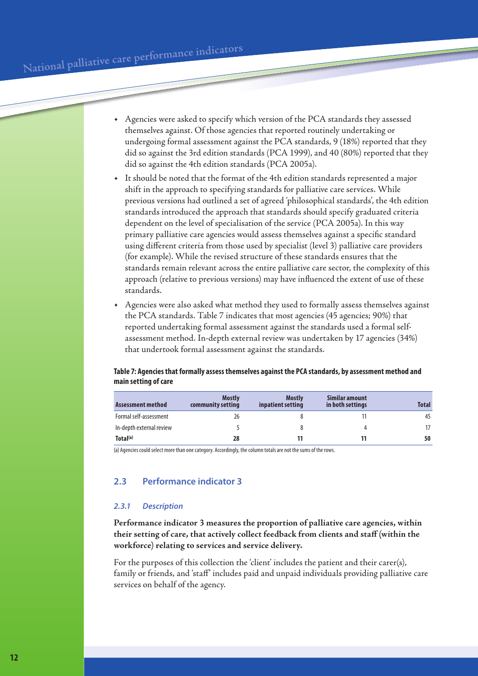- • Agencies were asked to specify which version of the PCA standards they assessed themselves against. Of those agencies that reported routinely undertaking or undergoing formal assessment against the PCA standards, 9 (18%) reported that they did so against the 3rd edition standards (PCA 1999), and 40 (80%) reported that they did so against the 4th edition standards (PCA 2005a).
- It should be noted that the format of the 4th edition standards represented a major shift in the approach to specifying standards for palliative care services. While previous versions had outlined a set of agreed 'philosophical standards', the 4th edition standards introduced the approach that standards should specify graduated criteria dependent on the level of specialisation of the service (PCA 2005a). In this way primary palliative care agencies would assess themselves against a specific standard using different criteria from those used by specialist (level 3) palliative care providers (for example). While the revised structure of these standards ensures that the standards remain relevant across the entire palliative care sector, the complexity of this approach (relative to previous versions) may have influenced the extent of use of these standards.
- Agencies were also asked what method they used to formally assess themselves against the PCA standards. Table 7 indicates that most agencies (45 agencies; 90%) that reported undertaking formal assessment against the standards used a formal selfassessment method. In-depth external review was undertaken by 17 agencies (34%) that undertook formal assessment against the standards.

#### **Table 7: Agencies that formally assess themselves against the PCA standards, by assessment method and main setting of care**

| Assessment method        | <b>Mostly</b><br>community setting | <b>Mostly</b><br>inpatient setting | Similar amount<br>in both settings | <b>Total</b> |
|--------------------------|------------------------------------|------------------------------------|------------------------------------|--------------|
| Formal self-assessment   | 26                                 |                                    |                                    | 45           |
| In-depth external review |                                    |                                    |                                    |              |
| Total <sup>(a)</sup>     | 28                                 |                                    |                                    | 50           |

(a) Agencies could select more than one category. Accordingly, the column totals are not the sums of the rows.

## **2.3 Performance indicator 3**

#### *2.3.1 Description*

**Performance indicator 3 measures the proportion of palliative care agencies, within their setting of care, that actively collect feedback from clients and staff (within the workforce) relating to services and service delivery.**

For the purposes of this collection the 'client' includes the patient and their carer(s), family or friends, and 'staff' includes paid and unpaid individuals providing palliative care services on behalf of the agency.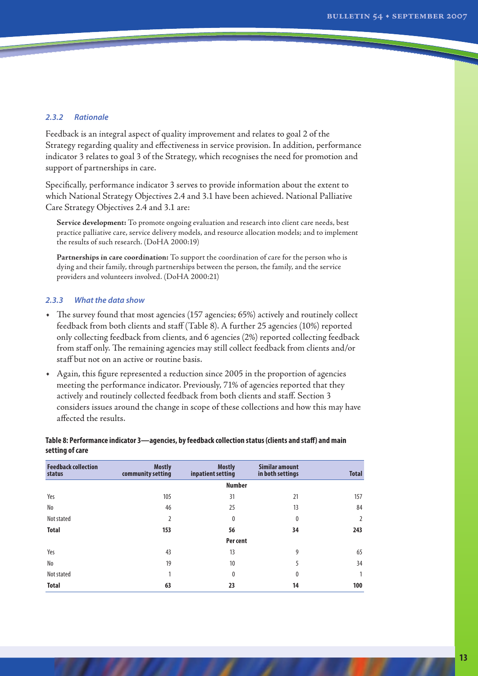#### *2.3.2 Rationale*

Feedback is an integral aspect of quality improvement and relates to goal 2 of the Strategy regarding quality and effectiveness in service provision. In addition, performance indicator 3 relates to goal 3 of the Strategy, which recognises the need for promotion and support of partnerships in care.

Specifically, performance indicator 3 serves to provide information about the extent to which National Strategy Objectives 2.4 and 3.1 have been achieved. National Palliative Care Strategy Objectives 2.4 and 3.1 are:

**Service development:** To promote ongoing evaluation and research into client care needs, best practice palliative care, service delivery models, and resource allocation models; and to implement the results of such research. (DoHA 2000:19)

**Partnerships in care coordination:** To support the coordination of care for the person who is dying and their family, through partnerships between the person, the family, and the service providers and volunteers involved. (DoHA 2000:21)

#### *2.3.3 What the data show*

- The survey found that most agencies (157 agencies; 65%) actively and routinely collect feedback from both clients and staff (Table 8). A further 25 agencies (10%) reported only collecting feedback from clients, and 6 agencies (2%) reported collecting feedback from staff only. The remaining agencies may still collect feedback from clients and/or staff but not on an active or routine basis.
- • Again, this figure represented a reduction since 2005 in the proportion of agencies meeting the performance indicator. Previously, 71% of agencies reported that they actively and routinely collected feedback from both clients and staff. Section 3 considers issues around the change in scope of these collections and how this may have affected the results.

#### **Table 8: Performance indicator 3—agencies, by feedback collection status (clients and staff) and main setting of care**

| <b>Feedback collection</b><br>status | <b>Mostly</b><br>community setting | <b>Mostly</b><br>inpatient setting | Similar amount<br>in both settings | <b>Total</b> |
|--------------------------------------|------------------------------------|------------------------------------|------------------------------------|--------------|
|                                      |                                    | <b>Number</b>                      |                                    |              |
| Yes                                  | 105                                | 31                                 | 21                                 | 157          |
| No                                   | 46                                 | 25                                 | 13                                 | 84           |
| Not stated                           | $\overline{2}$                     | 0                                  | 0                                  |              |
| <b>Total</b>                         | 153                                | 56                                 | 34                                 | 243          |
|                                      |                                    | Per cent                           |                                    |              |
| Yes                                  | 43                                 | 13                                 | 9                                  | 65           |
| No                                   | 19                                 | 10                                 | 5                                  | 34           |
| Not stated                           | 1                                  | 0                                  | 0                                  |              |
| <b>Total</b>                         | 63                                 | 23                                 | 14                                 | 100          |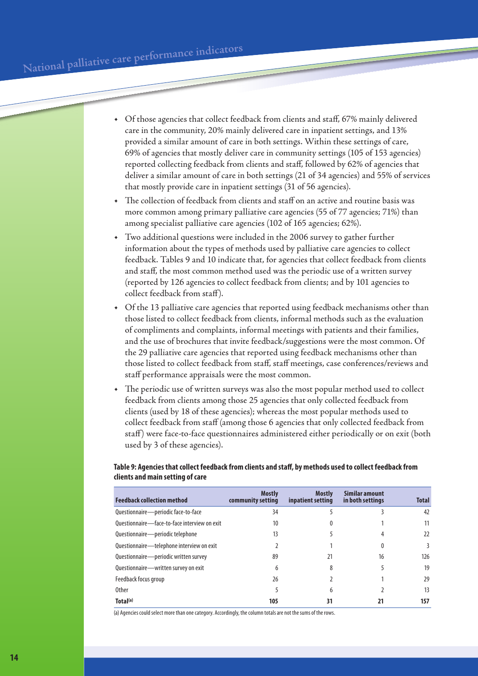- • Of those agencies that collect feedback from clients and staff, 67% mainly delivered care in the community, 20% mainly delivered care in inpatient settings, and 13% provided a similar amount of care in both settings. Within these settings of care, 69% of agencies that mostly deliver care in community settings (105 of 153 agencies) reported collecting feedback from clients and staff, followed by 62% of agencies that deliver a similar amount of care in both settings (21 of 34 agencies) and 55% of services that mostly provide care in inpatient settings (31 of 56 agencies).
- The collection of feedback from clients and staff on an active and routine basis was more common among primary palliative care agencies (55 of 77 agencies; 71%) than among specialist palliative care agencies (102 of 165 agencies; 62%).
- Two additional questions were included in the 2006 survey to gather further information about the types of methods used by palliative care agencies to collect feedback. Tables 9 and 10 indicate that, for agencies that collect feedback from clients and staff, the most common method used was the periodic use of a written survey (reported by 126 agencies to collect feedback from clients; and by 101 agencies to collect feedback from staff).
- Of the 13 palliative care agencies that reported using feedback mechanisms other than those listed to collect feedback from clients, informal methods such as the evaluation of compliments and complaints, informal meetings with patients and their families, and the use of brochures that invite feedback/suggestions were the most common. Of the 29 palliative care agencies that reported using feedback mechanisms other than those listed to collect feedback from staff, staff meetings, case conferences/reviews and staff performance appraisals were the most common.
- The periodic use of written surveys was also the most popular method used to collect feedback from clients among those 25 agencies that only collected feedback from clients (used by 18 of these agencies); whereas the most popular methods used to collect feedback from staff (among those 6 agencies that only collected feedback from staff) were face-to-face questionnaires administered either periodically or on exit (both used by 3 of these agencies).

## **Table 9: Agencies that collect feedback from clients and staff, by methods used to collect feedback from clients and main setting of care**

| <b>Feedback collection method</b>            | <b>Mostly</b><br>community setting | <b>Mostly</b><br>inpatient setting | Similar amount<br>in both settings | <b>Total</b> |
|----------------------------------------------|------------------------------------|------------------------------------|------------------------------------|--------------|
| Questionnaire-periodic face-to-face          | 34                                 |                                    |                                    | 42           |
| Ouestionnaire-face-to-face interview on exit | 10                                 | 0                                  |                                    | 11           |
| Questionnaire-periodic telephone             | 13                                 |                                    |                                    | 22           |
| Questionnaire-telephone interview on exit    |                                    |                                    |                                    | 3            |
| Questionnaire-periodic written survey        | 89                                 | 21                                 | 16                                 | 126          |
| Questionnaire—written survey on exit         | 6                                  | 8                                  |                                    | 19           |
| Feedback focus group                         | 26                                 |                                    |                                    | 29           |
| <b>Other</b>                                 | 5                                  | 6                                  |                                    | 13           |
| Total <sup>(a)</sup>                         | 105                                | 31                                 |                                    | 157          |

(a) Agencies could select more than one category. Accordingly, the column totals are not the sums of the rows.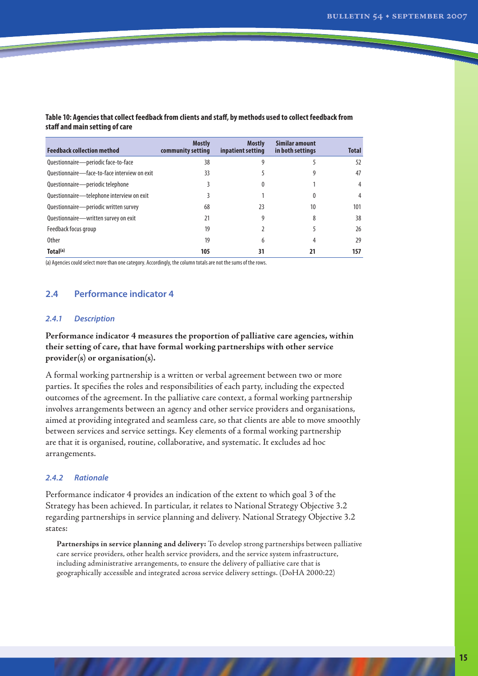| <b>Mostly</b><br>community setting | <b>Mostly</b><br>inpatient setting | <b>Similar amount</b><br>in both settings | <b>Total</b>   |
|------------------------------------|------------------------------------|-------------------------------------------|----------------|
| 38                                 |                                    |                                           | 52             |
| 33                                 |                                    |                                           | 47             |
|                                    |                                    |                                           | $\overline{4}$ |
|                                    |                                    | 0                                         | 4              |
| 68                                 | 23                                 | 10                                        | 101            |
| 21                                 | 9                                  | 8                                         | 38             |
| 19                                 |                                    |                                           | 26             |
| 19                                 | 6                                  | 4                                         | 29             |
| 105                                | 31                                 |                                           | 157            |
|                                    |                                    |                                           |                |

#### **Table 10: Agencies that collect feedback from clients and staff, by methods used to collect feedback from staff and main setting of care**

(a) Agencies could select more than one category. Accordingly, the column totals are not the sums of the rows.

## **2.4 Performance indicator 4**

#### *2.4.1 Description*

## **Performance indicator 4 measures the proportion of palliative care agencies, within their setting of care, that have formal working partnerships with other service provider(s) or organisation(s).**

A formal working partnership is a written or verbal agreement between two or more parties. It specifies the roles and responsibilities of each party, including the expected outcomes of the agreement. In the palliative care context, a formal working partnership involves arrangements between an agency and other service providers and organisations, aimed at providing integrated and seamless care, so that clients are able to move smoothly between services and service settings. Key elements of a formal working partnership are that it is organised, routine, collaborative, and systematic. It excludes ad hoc arrangements.

#### *2.4.2 Rationale*

Performance indicator 4 provides an indication of the extent to which goal 3 of the Strategy has been achieved. In particular, it relates to National Strategy Objective 3.2 regarding partnerships in service planning and delivery. National Strategy Objective 3.2 states:

**Partnerships in service planning and delivery:** To develop strong partnerships between palliative care service providers, other health service providers, and the service system infrastructure, including administrative arrangements, to ensure the delivery of palliative care that is geographically accessible and integrated across service delivery settings. (DoHA 2000:22)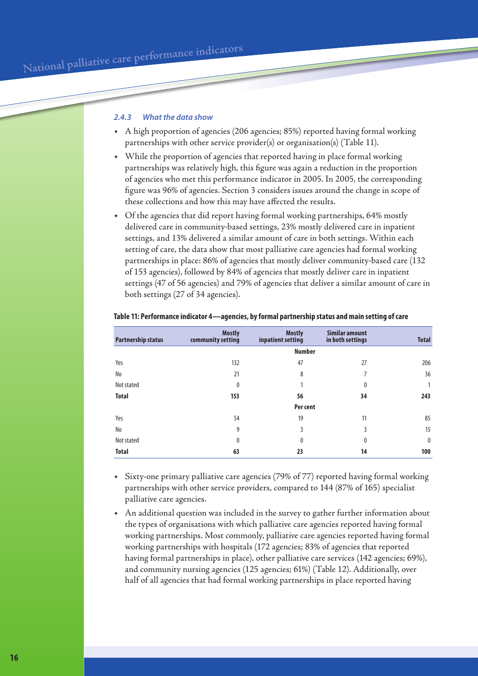#### *2.4.3 What the data show*

- • A high proportion of agencies (206 agencies; 85%) reported having formal working partnerships with other service provider(s) or organisation(s) (Table 11).
- • While the proportion of agencies that reported having in place formal working partnerships was relatively high, this figure was again a reduction in the proportion of agencies who met this performance indicator in 2005. In 2005, the corresponding figure was 96% of agencies. Section 3 considers issues around the change in scope of these collections and how this may have affected the results.
- Of the agencies that did report having formal working partnerships, 64% mostly delivered care in community-based settings, 23% mostly delivered care in inpatient settings, and 13% delivered a similar amount of care in both settings. Within each setting of care, the data show that most palliative care agencies had formal working partnerships in place: 86% of agencies that mostly deliver community-based care (132 of 153 agencies), followed by 84% of agencies that mostly deliver care in inpatient settings (47 of 56 agencies) and 79% of agencies that deliver a similar amount of care in both settings (27 of 34 agencies).

| <b>Partnership status</b> | <b>Mostly</b><br>community setting | <b>Mostly</b><br>inpatient setting | Similar amount<br>in both settings | <b>Total</b> |
|---------------------------|------------------------------------|------------------------------------|------------------------------------|--------------|
|                           | <b>Number</b>                      |                                    |                                    |              |
| Yes                       | 132                                | 47                                 | 27                                 | 206          |
| No                        | 21                                 | 8                                  | 7                                  | 36           |
| Not stated                | 0                                  | 1                                  | $\mathbf{0}$                       |              |
| <b>Total</b>              | 153                                | 56                                 | 34                                 | 243          |
|                           | Per cent                           |                                    |                                    |              |
| Yes                       | 54                                 | 19                                 | 11                                 | 85           |
| No                        | 9                                  | 3                                  | 3                                  | 15           |
| Not stated                | 0                                  | 0                                  | $\mathbf{0}$                       | $\mathbf{0}$ |
| <b>Total</b>              | 63                                 | 23                                 | 14                                 | 100          |

#### **Table 11: Performance indicator 4—agencies, by formal partnership status and main setting of care**

Sixty-one primary palliative care agencies (79% of 77) reported having formal working partnerships with other service providers, compared to 144 (87% of 165) specialist palliative care agencies.

An additional question was included in the survey to gather further information about the types of organisations with which palliative care agencies reported having formal working partnerships. Most commonly, palliative care agencies reported having formal working partnerships with hospitals (172 agencies; 83% of agencies that reported having formal partnerships in place), other palliative care services (142 agencies; 69%), and community nursing agencies (125 agencies; 61%) (Table 12). Additionally, over half of all agencies that had formal working partnerships in place reported having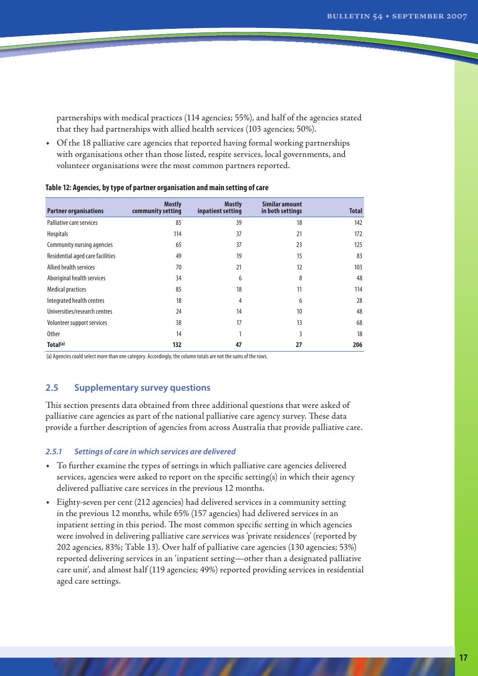partnerships with medical practices (114 agencies; 55%), and half of the agencies stated that they had partnerships with allied health services (103 agencies; 50%).

• Of the 18 palliative care agencies that reported having formal working partnerships with organisations other than those listed, respite services, local governments, and volunteer organisations were the most common partners reported.

| <b>Partner organisations</b>     | <b>Mostly</b><br>community setting | <b>Mostly</b><br>inpatient setting | Similar amount<br>in both settings | <b>Total</b> |
|----------------------------------|------------------------------------|------------------------------------|------------------------------------|--------------|
| Palliative care services         | 85                                 | 39                                 | 18                                 | 142          |
| <b>Hospitals</b>                 | 114                                | 37                                 | 21                                 | 172          |
| Community nursing agencies       | 65                                 | 37                                 | 23                                 | 125          |
| Residential aged care facilities | 49                                 | 19                                 | 15                                 | 83           |
| Allied health services           | 70                                 | 21                                 | 12                                 | 103          |
| Aboriginal health services       | 34                                 | 6                                  | 8                                  | 48           |
| <b>Medical practices</b>         | 85                                 | 18                                 | 11                                 | 114          |
| Integrated health centres        | 18                                 | 4                                  | 6                                  | 28           |
| Universities/research centres    | 24                                 | 14                                 | 10                                 | 48           |
| Volunteer support services       | 38                                 | 17                                 | 13                                 | 68           |
| <b>Other</b>                     | 14                                 |                                    | 3                                  | 18           |
| Total <sup>(a)</sup>             | 132                                | 47                                 | 27                                 | 206          |

#### **Table 12: Agencies, by type of partner organisation and main setting of care**

(a) Agencies could select more than one category. Accordingly, the column totals are not the sums of the rows.

## **2.5 Supplementary survey questions**

This section presents data obtained from three additional questions that were asked of palliative care agencies as part of the national palliative care agency survey. These data provide a further description of agencies from across Australia that provide palliative care.

#### *2.5.1 Settings of care in which services are delivered*

- • To further examine the types of settings in which palliative care agencies delivered services, agencies were asked to report on the specific setting(s) in which their agency delivered palliative care services in the previous 12 months.
- • Eighty-seven per cent (212 agencies) had delivered services in a community setting in the previous 12 months, while 65% (157 agencies) had delivered services in an inpatient setting in this period. The most common specific setting in which agencies were involved in delivering palliative care services was 'private residences' (reported by 202 agencies, 83%; Table 13). Over half of palliative care agencies (130 agencies; 53%) reported delivering services in an 'inpatient setting—other than a designated palliative care unit', and almost half (119 agencies; 49%) reported providing services in residential aged care settings.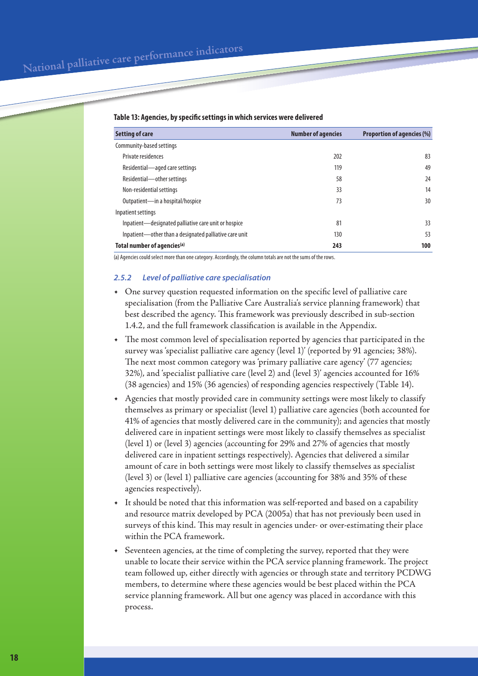National palliative care performance indicators

| Setting of care                                        | <b>Number of agencies</b> | <b>Proportion of agencies (%)</b> |
|--------------------------------------------------------|---------------------------|-----------------------------------|
| Community-based settings                               |                           |                                   |
| Private residences                                     | 202                       | 83                                |
| Residential—aged care settings                         | 119                       | 49                                |
| Residential-other settings                             | 58                        | 24                                |
| Non-residential settings                               | 33                        | 14                                |
| Outpatient-in a hospital/hospice                       | 73                        | 30                                |
| Inpatient settings                                     |                           |                                   |
| Inpatient—designated palliative care unit or hospice   | 81                        | 33                                |
| Inpatient—other than a designated palliative care unit | 130                       | 53                                |
| Total number of agencies <sup>(a)</sup>                | 243                       | 100                               |

#### **Table 13: Agencies, by specific settings in which services were delivered**

(a) Agencies could select more than one category. Accordingly, the column totals are not the sums of the rows.

#### *2.5.2 Level of palliative care specialisation*

- • One survey question requested information on the specific level of palliative care specialisation (from the Palliative Care Australia's service planning framework) that best described the agency. This framework was previously described in sub-section 1.4.2, and the full framework classification is available in the Appendix.
- The most common level of specialisation reported by agencies that participated in the survey was 'specialist palliative care agency (level 1)' (reported by 91 agencies; 38%). The next most common category was 'primary palliative care agency' (77 agencies; 32%), and 'specialist palliative care (level 2) and (level 3)' agencies accounted for 16% (38 agencies) and 15% (36 agencies) of responding agencies respectively (Table 14).
- • Agencies that mostly provided care in community settings were most likely to classify themselves as primary or specialist (level 1) palliative care agencies (both accounted for 41% of agencies that mostly delivered care in the community); and agencies that mostly delivered care in inpatient settings were most likely to classify themselves as specialist (level 1) or (level 3) agencies (accounting for 29% and 27% of agencies that mostly delivered care in inpatient settings respectively). Agencies that delivered a similar amount of care in both settings were most likely to classify themselves as specialist (level 3) or (level 1) palliative care agencies (accounting for 38% and 35% of these agencies respectively).
- It should be noted that this information was self-reported and based on a capability and resource matrix developed by PCA (2005a) that has not previously been used in surveys of this kind. This may result in agencies under- or over-estimating their place within the PCA framework.
- Seventeen agencies, at the time of completing the survey, reported that they were unable to locate their service within the PCA service planning framework. The project team followed up, either directly with agencies or through state and territory PCDWG members, to determine where these agencies would be best placed within the PCA service planning framework. All but one agency was placed in accordance with this process.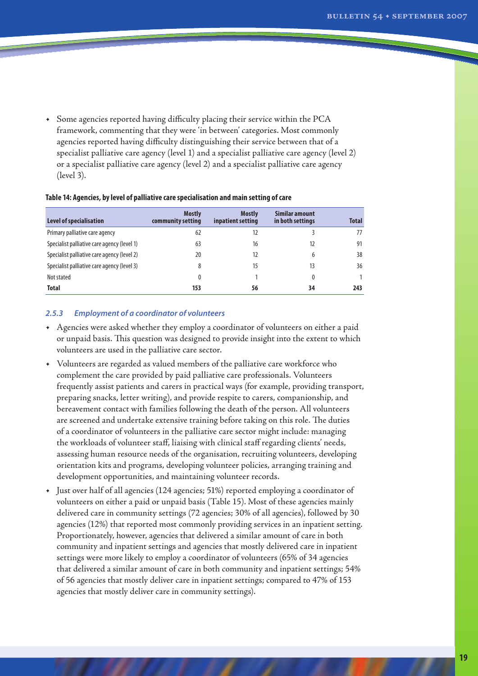**Total** 

• Some agencies reported having difficulty placing their service within the PCA framework, commenting that they were 'in between' categories. Most commonly agencies reported having difficulty distinguishing their service between that of a specialist palliative care agency (level 1) and a specialist palliative care agency (level 2) or a specialist palliative care agency (level 2) and a specialist palliative care agency (level 3).

| -                                           |                                    |                                    |                                    |              |
|---------------------------------------------|------------------------------------|------------------------------------|------------------------------------|--------------|
| Level of specialisation                     | <b>Mostly</b><br>community setting | <b>Mostly</b><br>inpatient setting | Similar amount<br>in both settings | <b>Total</b> |
| Primary palliative care agency              | 62                                 | 12                                 |                                    | 77           |
| Specialist palliative care agency (level 1) | 63                                 | 16                                 |                                    | 91           |
| Specialist palliative care agency (level 2) | 20                                 | 12                                 | h                                  | 38           |
| Specialist palliative care agency (level 3) | 8                                  | 15                                 | 13                                 | 36           |
| Not stated                                  | 0                                  |                                    |                                    |              |

#### **Table 14: Agencies, by level of palliative care specialisation and main setting of care**

#### *2.5.3 Employment of a coordinator of volunteers*

• Agencies were asked whether they employ a coordinator of volunteers on either a paid or unpaid basis. This question was designed to provide insight into the extent to which volunteers are used in the palliative care sector.

**Total 153 56 34 243**

- • Volunteers are regarded as valued members of the palliative care workforce who complement the care provided by paid palliative care professionals. Volunteers frequently assist patients and carers in practical ways (for example, providing transport, preparing snacks, letter writing), and provide respite to carers, companionship, and bereavement contact with families following the death of the person. All volunteers are screened and undertake extensive training before taking on this role. The duties of a coordinator of volunteers in the palliative care sector might include: managing the workloads of volunteer staff, liaising with clinical staff regarding clients' needs, assessing human resource needs of the organisation, recruiting volunteers, developing orientation kits and programs, developing volunteer policies, arranging training and development opportunities, and maintaining volunteer records.
- • Just over half of all agencies (124 agencies; 51%) reported employing a coordinator of volunteers on either a paid or unpaid basis (Table 15). Most of these agencies mainly delivered care in community settings (72 agencies; 30% of all agencies), followed by 30 agencies (12%) that reported most commonly providing services in an inpatient setting. Proportionately, however, agencies that delivered a similar amount of care in both community and inpatient settings and agencies that mostly delivered care in inpatient settings were more likely to employ a coordinator of volunteers (65% of 34 agencies that delivered a similar amount of care in both community and inpatient settings; 54% of 56 agencies that mostly deliver care in inpatient settings; compared to 47% of 153 agencies that mostly deliver care in community settings).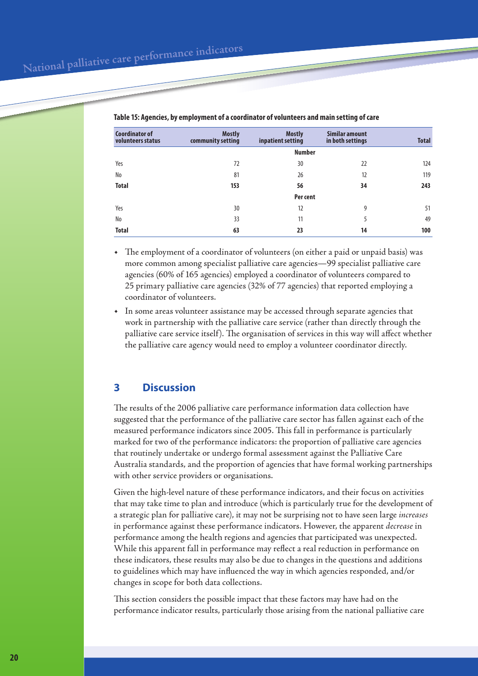| <b>Coordinator of</b><br>volunteers status | <b>Mostly</b><br>community setting | <b>Mostly</b><br>inpatient setting | <b>Similar amount</b><br>in both settings | <b>Total</b> |
|--------------------------------------------|------------------------------------|------------------------------------|-------------------------------------------|--------------|
|                                            |                                    | <b>Number</b>                      |                                           |              |
| Yes                                        | 72                                 | 30                                 | 22                                        | 124          |
| No                                         | 81                                 | 26                                 | 12                                        | 119          |
| <b>Total</b>                               | 153                                | 56                                 | 34                                        | 243          |
|                                            |                                    | Per cent                           |                                           |              |
| Yes                                        | 30                                 | 12                                 | 9                                         | 51           |
| No                                         | 33                                 | 11                                 | 5                                         | 49           |
| <b>Total</b>                               | 63                                 | 23                                 | 14                                        | 100          |

**Table 15: Agencies, by employment of a coordinator of volunteers and main setting of care** 

- The employment of a coordinator of volunteers (on either a paid or unpaid basis) was more common among specialist palliative care agencies—99 specialist palliative care agencies (60% of 165 agencies) employed a coordinator of volunteers compared to 25 primary palliative care agencies (32% of 77 agencies) that reported employing a coordinator of volunteers.
- In some areas volunteer assistance may be accessed through separate agencies that work in partnership with the palliative care service (rather than directly through the palliative care service itself). The organisation of services in this way will affect whether the palliative care agency would need to employ a volunteer coordinator directly.

# **3 Discussion**

The results of the 2006 palliative care performance information data collection have suggested that the performance of the palliative care sector has fallen against each of the measured performance indicators since 2005. This fall in performance is particularly marked for two of the performance indicators: the proportion of palliative care agencies that routinely undertake or undergo formal assessment against the Palliative Care Australia standards, and the proportion of agencies that have formal working partnerships with other service providers or organisations.

Given the high-level nature of these performance indicators, and their focus on activities that may take time to plan and introduce (which is particularly true for the development of a strategic plan for palliative care), it may not be surprising not to have seen large *increases* in performance against these performance indicators. However, the apparent *decrease* in performance among the health regions and agencies that participated was unexpected. While this apparent fall in performance may reflect a real reduction in performance on these indicators, these results may also be due to changes in the questions and additions to guidelines which may have influenced the way in which agencies responded, and/or changes in scope for both data collections.

This section considers the possible impact that these factors may have had on the performance indicator results, particularly those arising from the national palliative care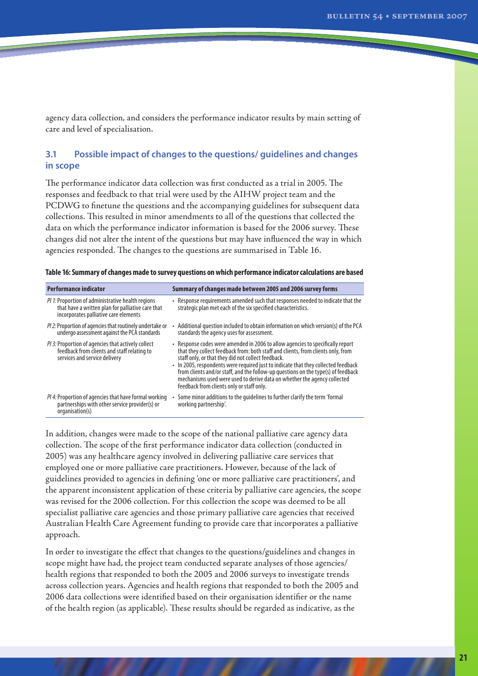agency data collection, and considers the performance indicator results by main setting of care and level of specialisation.

## **3.1 Possible impact of changes to the questions/ guidelines and changes in scope**

The performance indicator data collection was first conducted as a trial in 2005. The responses and feedback to that trial were used by the AIHW project team and the PCDWG to finetune the questions and the accompanying guidelines for subsequent data collections. This resulted in minor amendments to all of the questions that collected the data on which the performance indicator information is based for the 2006 survey. These changes did not alter the intent of the questions but may have influenced the way in which agencies responded. The changes to the questions are summarised in Table 16.

|  |  |  |  | Table 16: Summary of changes made to survey questions on which performance indicator calculations are based |
|--|--|--|--|-------------------------------------------------------------------------------------------------------------|
|--|--|--|--|-------------------------------------------------------------------------------------------------------------|

| <b>Performance indicator</b>                                                                                                                    | Summary of changes made between 2005 and 2006 survey forms                                                                                                                                                                                                                                                                                                                                                                                                                                                                   |
|-------------------------------------------------------------------------------------------------------------------------------------------------|------------------------------------------------------------------------------------------------------------------------------------------------------------------------------------------------------------------------------------------------------------------------------------------------------------------------------------------------------------------------------------------------------------------------------------------------------------------------------------------------------------------------------|
| PI 1: Proportion of administrative health regions<br>that have a written plan for palliative care that<br>incorporates palliative care elements | • Response requirements amended such that responses needed to indicate that the<br>strategic plan met each of the six specified characteristics.                                                                                                                                                                                                                                                                                                                                                                             |
| <i>Pl 2:</i> Proportion of agencies that routinely undertake or<br>undergo assessment against the PCA standards                                 | Additional question included to obtain information on which version(s) of the PCA<br>standards the agency uses for assessment.                                                                                                                                                                                                                                                                                                                                                                                               |
| <i>PI 3:</i> Proportion of agencies that actively collect<br>feedback from clients and staff relating to<br>services and service delivery       | • Response codes were amended in 2006 to allow agencies to specifically report<br>that they collect feedback from: both staff and clients, from clients only, from<br>staff only, or that they did not collect feedback.<br>• In 2005, respondents were required just to indicate that they collected feedback<br>from clients and/or staff, and the follow-up questions on the type(s) of feedback<br>mechanisms used were used to derive data on whether the agency collected<br>feedback from clients only or staff only. |
| PI 4: Proportion of agencies that have formal working<br>partnerships with other service provider(s) or<br>organisation(s)                      | Some minor additions to the guidelines to further clarify the term 'formal<br>working partnership'.                                                                                                                                                                                                                                                                                                                                                                                                                          |

In addition, changes were made to the scope of the national palliative care agency data collection. The scope of the first performance indicator data collection (conducted in 2005) was any healthcare agency involved in delivering palliative care services that employed one or more palliative care practitioners. However, because of the lack of guidelines provided to agencies in defining 'one or more palliative care practitioners', and the apparent inconsistent application of these criteria by palliative care agencies, the scope was revised for the 2006 collection. For this collection the scope was deemed to be all specialist palliative care agencies and those primary palliative care agencies that received Australian Health Care Agreement funding to provide care that incorporates a palliative approach.

In order to investigate the effect that changes to the questions/guidelines and changes in scope might have had, the project team conducted separate analyses of those agencies/ health regions that responded to both the 2005 and 2006 surveys to investigate trends across collection years. Agencies and health regions that responded to both the 2005 and 2006 data collections were identified based on their organisation identifier or the name of the health region (as applicable). These results should be regarded as indicative, as the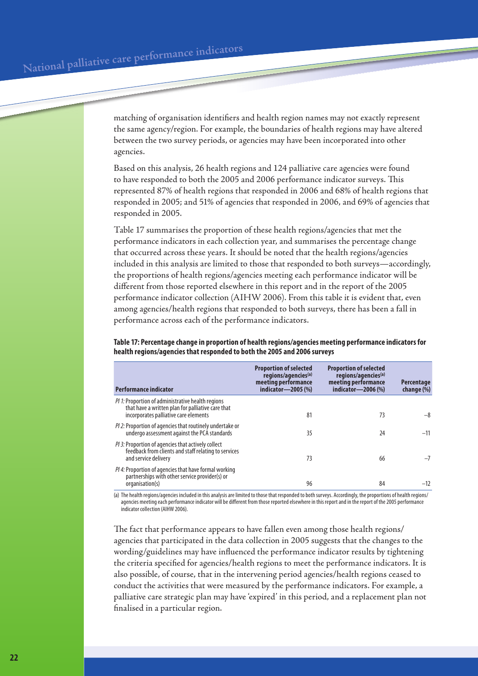matching of organisation identifiers and health region names may not exactly represent the same agency/region. For example, the boundaries of health regions may have altered between the two survey periods, or agencies may have been incorporated into other agencies.

Based on this analysis, 26 health regions and 124 palliative care agencies were found to have responded to both the 2005 and 2006 performance indicator surveys. This represented 87% of health regions that responded in 2006 and 68% of health regions that responded in 2005; and 51% of agencies that responded in 2006, and 69% of agencies that responded in 2005.

Table 17 summarises the proportion of these health regions/agencies that met the performance indicators in each collection year, and summarises the percentage change that occurred across these years. It should be noted that the health regions/agencies included in this analysis are limited to those that responded to both surveys—accordingly, the proportions of health regions/agencies meeting each performance indicator will be different from those reported elsewhere in this report and in the report of the 2005 performance indicator collection (AIHW 2006). From this table it is evident that, even among agencies/health regions that responded to both surveys, there has been a fall in performance across each of the performance indicators.

**Table 17: Percentage change in proportion of health regions/agencies meeting performance indicators for health regions/agencies that responded to both the 2005 and 2006 surveys**

| <b>Performance indicator</b>                                                                                                                           | <b>Proportion of selected</b><br>regions/agencies <sup>(a)</sup><br>meeting performance<br>indicator-2005 (%) | <b>Proportion of selected</b><br>regions/agencies <sup>(a)</sup><br>meeting performance<br>indicator-2006 (%) | <b>Percentage</b><br>change (%) |
|--------------------------------------------------------------------------------------------------------------------------------------------------------|---------------------------------------------------------------------------------------------------------------|---------------------------------------------------------------------------------------------------------------|---------------------------------|
| <i>PI 1:</i> Proportion of administrative health regions<br>that have a written plan for palliative care that<br>incorporates palliative care elements | 81                                                                                                            | 73                                                                                                            | -8                              |
| <i>Pl 2:</i> Proportion of agencies that routinely undertake or<br>undergo assessment against the PCA standards                                        | 35                                                                                                            | 24                                                                                                            | $-11$                           |
| <i>PI 3:</i> Proportion of agencies that actively collect<br>feedback from clients and staff relating to services<br>and service delivery              | 73                                                                                                            | 66                                                                                                            |                                 |
| <i>PI 4:</i> Proportion of agencies that have formal working<br>partnerships with other service provider(s) or<br>organisation(s)                      | 96                                                                                                            | 84                                                                                                            | $-12$                           |

(a) The health regions/agencies included in this analysis are limited to those that responded to both surveys. Accordingly, the proportions of health regions/ agencies meeting each performance indicator will be different from those reported elsewhere in this report and in the report of the 2005 performance indicator collection (AIHW 2006).

The fact that performance appears to have fallen even among those health regions/ agencies that participated in the data collection in 2005 suggests that the changes to the wording/guidelines may have influenced the performance indicator results by tightening the criteria specified for agencies/health regions to meet the performance indicators. It is also possible, of course, that in the intervening period agencies/health regions ceased to conduct the activities that were measured by the performance indicators. For example, a palliative care strategic plan may have 'expired' in this period, and a replacement plan not finalised in a particular region.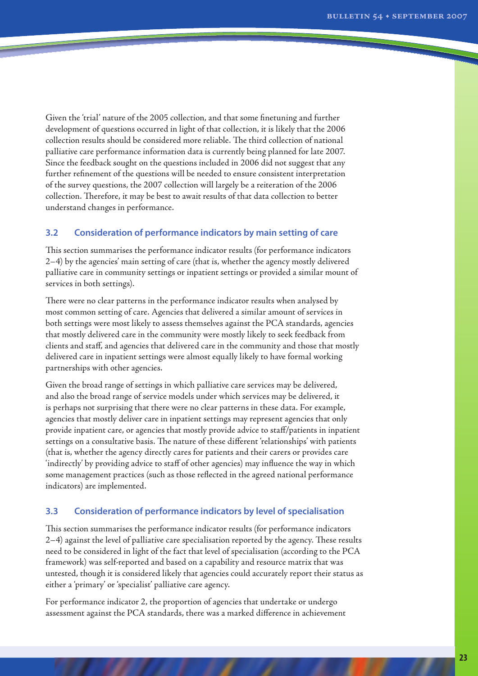Given the 'trial' nature of the 2005 collection, and that some finetuning and further development of questions occurred in light of that collection, it is likely that the 2006 collection results should be considered more reliable. The third collection of national palliative care performance information data is currently being planned for late 2007. Since the feedback sought on the questions included in 2006 did not suggest that any further refinement of the questions will be needed to ensure consistent interpretation of the survey questions, the 2007 collection will largely be a reiteration of the 2006 collection. Therefore, it may be best to await results of that data collection to better understand changes in performance.

## **3.2 Consideration of performance indicators by main setting of care**

This section summarises the performance indicator results (for performance indicators 2–4) by the agencies' main setting of care (that is, whether the agency mostly delivered palliative care in community settings or inpatient settings or provided a similar mount of services in both settings).

There were no clear patterns in the performance indicator results when analysed by most common setting of care. Agencies that delivered a similar amount of services in both settings were most likely to assess themselves against the PCA standards, agencies that mostly delivered care in the community were mostly likely to seek feedback from clients and staff, and agencies that delivered care in the community and those that mostly delivered care in inpatient settings were almost equally likely to have formal working partnerships with other agencies.

Given the broad range of settings in which palliative care services may be delivered, and also the broad range of service models under which services may be delivered, it is perhaps not surprising that there were no clear patterns in these data. For example, agencies that mostly deliver care in inpatient settings may represent agencies that only provide inpatient care, or agencies that mostly provide advice to staff/patients in inpatient settings on a consultative basis. The nature of these different 'relationships' with patients (that is, whether the agency directly cares for patients and their carers or provides care 'indirectly' by providing advice to staff of other agencies) may influence the way in which some management practices (such as those reflected in the agreed national performance indicators) are implemented.

#### **3.3 Consideration of performance indicators by level of specialisation**

This section summarises the performance indicator results (for performance indicators 2–4) against the level of palliative care specialisation reported by the agency. These results need to be considered in light of the fact that level of specialisation (according to the PCA framework) was self-reported and based on a capability and resource matrix that was untested, though it is considered likely that agencies could accurately report their status as either a 'primary' or 'specialist' palliative care agency.

For performance indicator 2, the proportion of agencies that undertake or undergo assessment against the PCA standards, there was a marked difference in achievement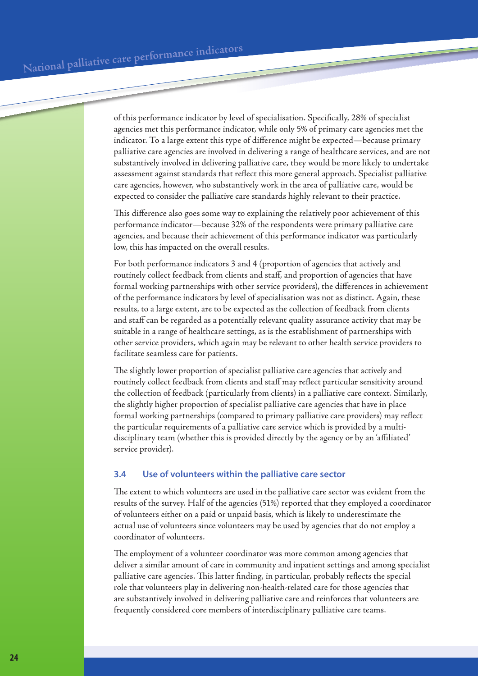of this performance indicator by level of specialisation. Specifically, 28% of specialist agencies met this performance indicator, while only 5% of primary care agencies met the indicator. To a large extent this type of difference might be expected—because primary palliative care agencies are involved in delivering a range of healthcare services, and are not substantively involved in delivering palliative care, they would be more likely to undertake assessment against standards that reflect this more general approach. Specialist palliative care agencies, however, who substantively work in the area of palliative care, would be expected to consider the palliative care standards highly relevant to their practice.

This difference also goes some way to explaining the relatively poor achievement of this performance indicator—because 32% of the respondents were primary palliative care agencies, and because their achievement of this performance indicator was particularly low, this has impacted on the overall results.

For both performance indicators 3 and 4 (proportion of agencies that actively and routinely collect feedback from clients and staff, and proportion of agencies that have formal working partnerships with other service providers), the differences in achievement of the performance indicators by level of specialisation was not as distinct. Again, these results, to a large extent, are to be expected as the collection of feedback from clients and staff can be regarded as a potentially relevant quality assurance activity that may be suitable in a range of healthcare settings, as is the establishment of partnerships with other service providers, which again may be relevant to other health service providers to facilitate seamless care for patients.

The slightly lower proportion of specialist palliative care agencies that actively and routinely collect feedback from clients and staff may reflect particular sensitivity around the collection of feedback (particularly from clients) in a palliative care context. Similarly, the slightly higher proportion of specialist palliative care agencies that have in place formal working partnerships (compared to primary palliative care providers) may reflect the particular requirements of a palliative care service which is provided by a multidisciplinary team (whether this is provided directly by the agency or by an 'affiliated' service provider).

## **3.4 Use of volunteers within the palliative care sector**

The extent to which volunteers are used in the palliative care sector was evident from the results of the survey. Half of the agencies (51%) reported that they employed a coordinator of volunteers either on a paid or unpaid basis, which is likely to underestimate the actual use of volunteers since volunteers may be used by agencies that do not employ a coordinator of volunteers.

The employment of a volunteer coordinator was more common among agencies that deliver a similar amount of care in community and inpatient settings and among specialist palliative care agencies. This latter finding, in particular, probably reflects the special role that volunteers play in delivering non-health-related care for those agencies that are substantively involved in delivering palliative care and reinforces that volunteers are frequently considered core members of interdisciplinary palliative care teams.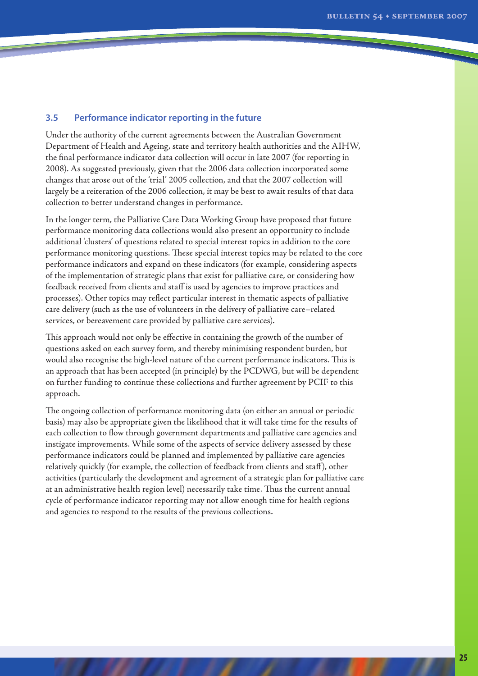## **3.5 Performance indicator reporting in the future**

Under the authority of the current agreements between the Australian Government Department of Health and Ageing, state and territory health authorities and the AIHW, the final performance indicator data collection will occur in late 2007 (for reporting in 2008). As suggested previously, given that the 2006 data collection incorporated some changes that arose out of the 'trial' 2005 collection, and that the 2007 collection will largely be a reiteration of the 2006 collection, it may be best to await results of that data collection to better understand changes in performance.

In the longer term, the Palliative Care Data Working Group have proposed that future performance monitoring data collections would also present an opportunity to include additional 'clusters' of questions related to special interest topics in addition to the core performance monitoring questions. These special interest topics may be related to the core performance indicators and expand on these indicators (for example, considering aspects of the implementation of strategic plans that exist for palliative care, or considering how feedback received from clients and staff is used by agencies to improve practices and processes). Other topics may reflect particular interest in thematic aspects of palliative care delivery (such as the use of volunteers in the delivery of palliative care–related services, or bereavement care provided by palliative care services).

This approach would not only be effective in containing the growth of the number of questions asked on each survey form, and thereby minimising respondent burden, but would also recognise the high-level nature of the current performance indicators. This is an approach that has been accepted (in principle) by the PCDWG, but will be dependent on further funding to continue these collections and further agreement by PCIF to this approach.

The ongoing collection of performance monitoring data (on either an annual or periodic basis) may also be appropriate given the likelihood that it will take time for the results of each collection to flow through government departments and palliative care agencies and instigate improvements. While some of the aspects of service delivery assessed by these performance indicators could be planned and implemented by palliative care agencies relatively quickly (for example, the collection of feedback from clients and staff), other activities (particularly the development and agreement of a strategic plan for palliative care at an administrative health region level) necessarily take time. Thus the current annual cycle of performance indicator reporting may not allow enough time for health regions and agencies to respond to the results of the previous collections.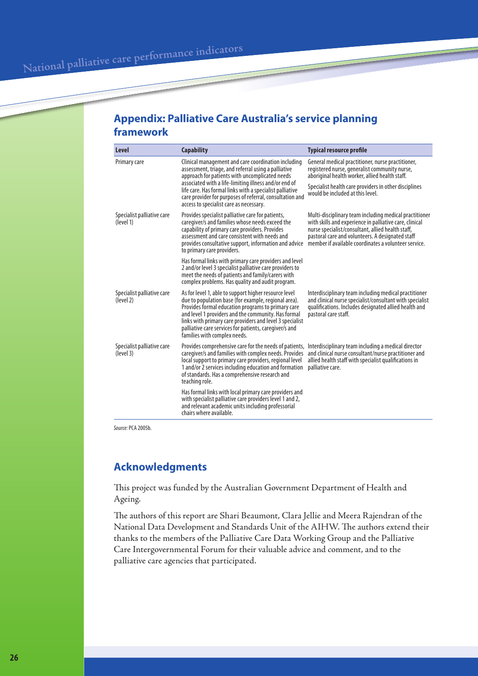# **Appendix: Palliative Care Australia's service planning framework**

| <b>Level</b>                            | <b>Capability</b>                                                                                                                                                                                                                                                                                                                                                                | <b>Typical resource profile</b>                                                                                                                                                                                                                                                    |
|-----------------------------------------|----------------------------------------------------------------------------------------------------------------------------------------------------------------------------------------------------------------------------------------------------------------------------------------------------------------------------------------------------------------------------------|------------------------------------------------------------------------------------------------------------------------------------------------------------------------------------------------------------------------------------------------------------------------------------|
| Primary care                            | Clinical management and care coordination including<br>assessment, triage, and referral using a palliative<br>approach for patients with uncomplicated needs                                                                                                                                                                                                                     | General medical practitioner, nurse practitioner,<br>registered nurse, generalist community nurse,<br>aboriginal health worker, allied health staff.                                                                                                                               |
|                                         | associated with a life-limiting illness and/or end of<br>life care. Has formal links with a specialist palliative<br>care provider for purposes of referral, consultation and<br>access to specialist care as necessary.                                                                                                                                                         | Specialist health care providers in other disciplines<br>would be included at this level.                                                                                                                                                                                          |
| Specialist palliative care<br>(level 1) | Provides specialist palliative care for patients,<br>caregiver/s and families whose needs exceed the<br>capability of primary care providers. Provides<br>assessment and care consistent with needs and<br>provides consultative support, information and advice<br>to primary care providers.                                                                                   | Multi-disciplinary team including medical practitioner<br>with skills and experience in palliative care, clinical<br>nurse specialist/consultant, allied health staff,<br>pastoral care and volunteers. A designated staff<br>member if available coordinates a volunteer service. |
|                                         | Has formal links with primary care providers and level<br>2 and/or level 3 specialist palliative care providers to<br>meet the needs of patients and family/carers with<br>complex problems. Has quality and audit program.                                                                                                                                                      |                                                                                                                                                                                                                                                                                    |
| Specialist palliative care<br>(level 2) | As for level 1, able to support higher resource level<br>due to population base (for example, regional area).<br>Provides formal education programs to primary care<br>and level 1 providers and the community. Has formal<br>links with primary care providers and level 3 specialist<br>palliative care services for patients, caregiver/s and<br>families with complex needs. | Interdisciplinary team including medical practitioner<br>and clinical nurse specialist/consultant with specialist<br>qualifications. Includes designated allied health and<br>pastoral care staff.                                                                                 |
| Specialist palliative care<br>(level 3) | Provides comprehensive care for the needs of patients,<br>caregiver/s and families with complex needs. Provides<br>local support to primary care providers, regional level<br>1 and/or 2 services including education and formation<br>of standards. Has a comprehensive research and<br>teaching role.                                                                          | Interdisciplinary team including a medical director<br>and clinical nurse consultant/nurse practitioner and<br>allied health staff with specialist qualifications in<br>palliative care.                                                                                           |
|                                         | Has formal links with local primary care providers and<br>with specialist palliative care providers level 1 and 2,<br>and relevant academic units including professorial<br>chairs where available.                                                                                                                                                                              |                                                                                                                                                                                                                                                                                    |

*Source:* PCA 2005b.

# **Acknowledgments**

This project was funded by the Australian Government Department of Health and Ageing.

The authors of this report are Shari Beaumont, Clara Jellie and Meera Rajendran of the National Data Development and Standards Unit of the AIHW. The authors extend their thanks to the members of the Palliative Care Data Working Group and the Palliative Care Intergovernmental Forum for their valuable advice and comment, and to the palliative care agencies that participated.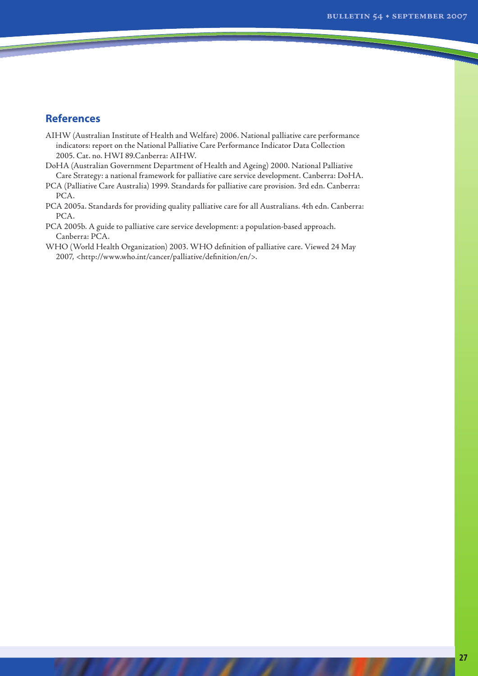## **References**

- AIHW (Australian Institute of Health and Welfare) 2006. National palliative care performance indicators: report on the National Palliative Care Performance Indicator Data Collection 2005. Cat. no. HWI 89.Canberra: AIHW.
- DoHA (Australian Government Department of Health and Ageing) 2000. National Palliative Care Strategy: a national framework for palliative care service development. Canberra: DoHA.
- PCA (Palliative Care Australia) 1999. Standards for palliative care provision. 3rd edn. Canberra: PCA.
- PCA 2005a. Standards for providing quality palliative care for all Australians. 4th edn. Canberra: PCA.
- PCA 2005b. A guide to palliative care service development: a population-based approach. Canberra: PCA.
- WHO (World Health Organization) 2003. WHO definition of palliative care. Viewed 24 May 2007, <http://www.who.int/cancer/palliative/definition/en/>.